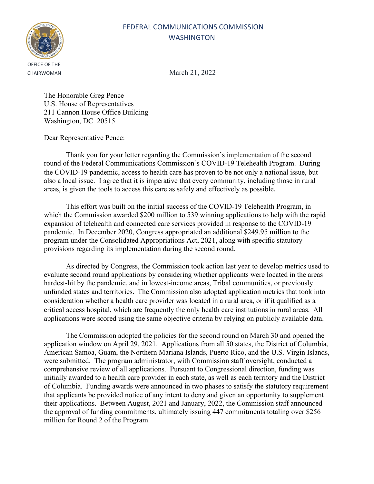

CHAIRWOMAN March 21, 2022

The Honorable Greg Pence U.S. House of Representatives 211 Cannon House Office Building Washington, DC 20515

Dear Representative Pence:

Thank you for your letter regarding the Commission's implementation of the second round of the Federal Communications Commission's COVID-19 Telehealth Program. During the COVID-19 pandemic, access to health care has proven to be not only a national issue, but also a local issue. I agree that it is imperative that every community, including those in rural areas, is given the tools to access this care as safely and effectively as possible.

This effort was built on the initial success of the COVID-19 Telehealth Program, in which the Commission awarded \$200 million to 539 winning applications to help with the rapid expansion of telehealth and connected care services provided in response to the COVID-19 pandemic. In December 2020, Congress appropriated an additional \$249.95 million to the program under the Consolidated Appropriations Act, 2021, along with specific statutory provisions regarding its implementation during the second round.

As directed by Congress, the Commission took action last year to develop metrics used to evaluate second round applications by considering whether applicants were located in the areas hardest-hit by the pandemic, and in lowest-income areas, Tribal communities, or previously unfunded states and territories. The Commission also adopted application metrics that took into consideration whether a health care provider was located in a rural area, or if it qualified as a critical access hospital, which are frequently the only health care institutions in rural areas. All applications were scored using the same objective criteria by relying on publicly available data.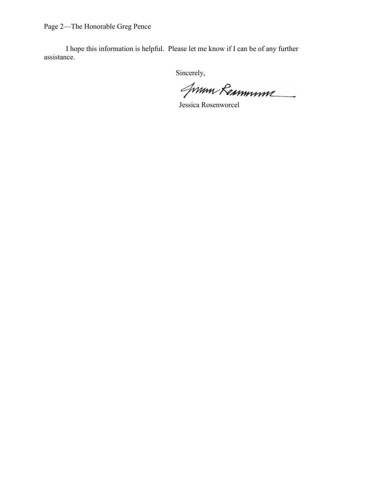Page 2—The Honorable Greg Pence

I hope this information is helpful. Please let me know if I can be of any further assistance.

Jum Remmune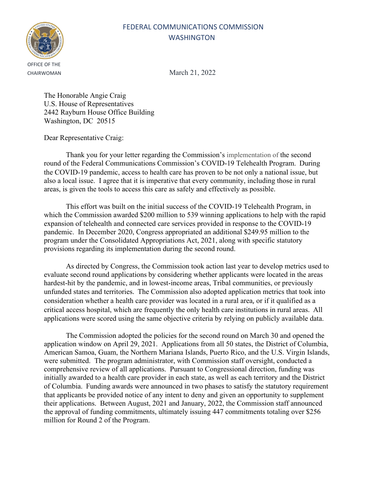

CHAIRWOMAN March 21, 2022

The Honorable Angie Craig U.S. House of Representatives 2442 Rayburn House Office Building Washington, DC 20515

Dear Representative Craig:

Thank you for your letter regarding the Commission's implementation of the second round of the Federal Communications Commission's COVID-19 Telehealth Program. During the COVID-19 pandemic, access to health care has proven to be not only a national issue, but also a local issue. I agree that it is imperative that every community, including those in rural areas, is given the tools to access this care as safely and effectively as possible.

This effort was built on the initial success of the COVID-19 Telehealth Program, in which the Commission awarded \$200 million to 539 winning applications to help with the rapid expansion of telehealth and connected care services provided in response to the COVID-19 pandemic. In December 2020, Congress appropriated an additional \$249.95 million to the program under the Consolidated Appropriations Act, 2021, along with specific statutory provisions regarding its implementation during the second round.

As directed by Congress, the Commission took action last year to develop metrics used to evaluate second round applications by considering whether applicants were located in the areas hardest-hit by the pandemic, and in lowest-income areas, Tribal communities, or previously unfunded states and territories. The Commission also adopted application metrics that took into consideration whether a health care provider was located in a rural area, or if it qualified as a critical access hospital, which are frequently the only health care institutions in rural areas. All applications were scored using the same objective criteria by relying on publicly available data.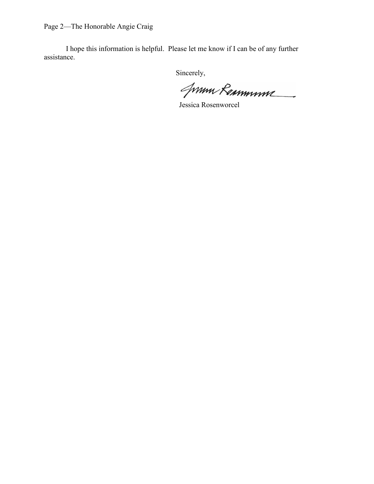Page 2—The Honorable Angie Craig

I hope this information is helpful. Please let me know if I can be of any further assistance.

Jum Remmune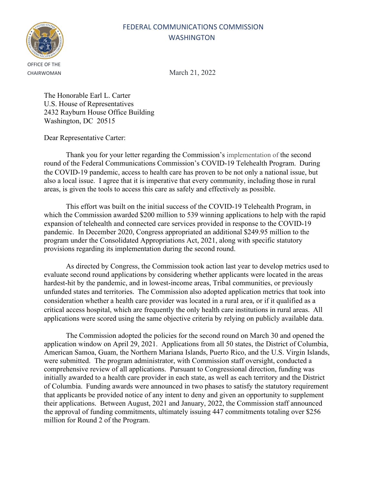

CHAIRWOMAN March 21, 2022

The Honorable Earl L. Carter U.S. House of Representatives 2432 Rayburn House Office Building Washington, DC 20515

Dear Representative Carter:

Thank you for your letter regarding the Commission's implementation of the second round of the Federal Communications Commission's COVID-19 Telehealth Program. During the COVID-19 pandemic, access to health care has proven to be not only a national issue, but also a local issue. I agree that it is imperative that every community, including those in rural areas, is given the tools to access this care as safely and effectively as possible.

This effort was built on the initial success of the COVID-19 Telehealth Program, in which the Commission awarded \$200 million to 539 winning applications to help with the rapid expansion of telehealth and connected care services provided in response to the COVID-19 pandemic. In December 2020, Congress appropriated an additional \$249.95 million to the program under the Consolidated Appropriations Act, 2021, along with specific statutory provisions regarding its implementation during the second round.

As directed by Congress, the Commission took action last year to develop metrics used to evaluate second round applications by considering whether applicants were located in the areas hardest-hit by the pandemic, and in lowest-income areas, Tribal communities, or previously unfunded states and territories. The Commission also adopted application metrics that took into consideration whether a health care provider was located in a rural area, or if it qualified as a critical access hospital, which are frequently the only health care institutions in rural areas. All applications were scored using the same objective criteria by relying on publicly available data.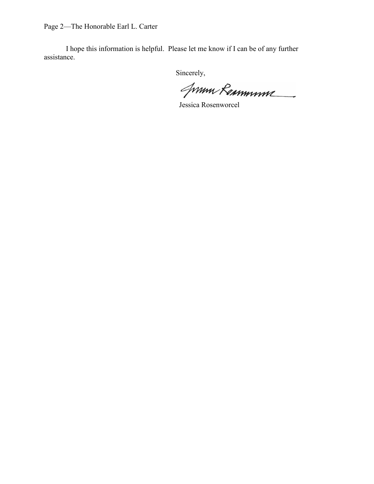Page 2—The Honorable Earl L. Carter

I hope this information is helpful. Please let me know if I can be of any further assistance.

Jum Remmune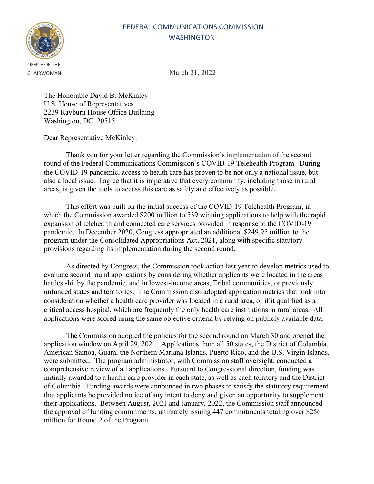

CHAIRWOMAN March 21, 2022

The Honorable David B. McKinley U.S. House of Representatives 2239 Rayburn House Office Building Washington, DC 20515

Dear Representative McKinley:

Thank you for your letter regarding the Commission's implementation of the second round of the Federal Communications Commission's COVID-19 Telehealth Program. During the COVID-19 pandemic, access to health care has proven to be not only a national issue, but also a local issue. I agree that it is imperative that every community, including those in rural areas, is given the tools to access this care as safely and effectively as possible.

This effort was built on the initial success of the COVID-19 Telehealth Program, in which the Commission awarded \$200 million to 539 winning applications to help with the rapid expansion of telehealth and connected care services provided in response to the COVID-19 pandemic. In December 2020, Congress appropriated an additional \$249.95 million to the program under the Consolidated Appropriations Act, 2021, along with specific statutory provisions regarding its implementation during the second round.

As directed by Congress, the Commission took action last year to develop metrics used to evaluate second round applications by considering whether applicants were located in the areas hardest-hit by the pandemic, and in lowest-income areas, Tribal communities, or previously unfunded states and territories. The Commission also adopted application metrics that took into consideration whether a health care provider was located in a rural area, or if it qualified as a critical access hospital, which are frequently the only health care institutions in rural areas. All applications were scored using the same objective criteria by relying on publicly available data.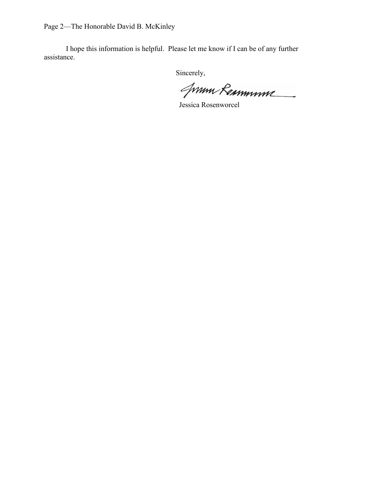Page 2—The Honorable David B. McKinley

I hope this information is helpful. Please let me know if I can be of any further assistance.

Jum Remmune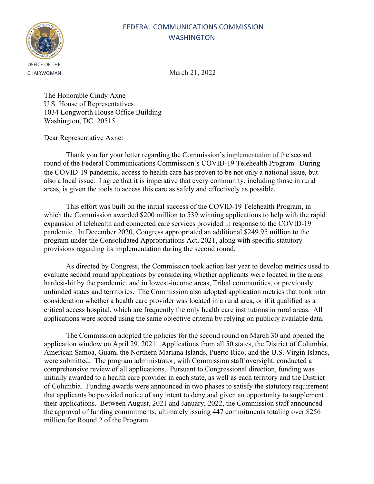

CHAIRWOMAN March 21, 2022

The Honorable Cindy Axne U.S. House of Representatives 1034 Longworth House Office Building Washington, DC 20515

Dear Representative Axne:

Thank you for your letter regarding the Commission's implementation of the second round of the Federal Communications Commission's COVID-19 Telehealth Program. During the COVID-19 pandemic, access to health care has proven to be not only a national issue, but also a local issue. I agree that it is imperative that every community, including those in rural areas, is given the tools to access this care as safely and effectively as possible.

This effort was built on the initial success of the COVID-19 Telehealth Program, in which the Commission awarded \$200 million to 539 winning applications to help with the rapid expansion of telehealth and connected care services provided in response to the COVID-19 pandemic. In December 2020, Congress appropriated an additional \$249.95 million to the program under the Consolidated Appropriations Act, 2021, along with specific statutory provisions regarding its implementation during the second round.

As directed by Congress, the Commission took action last year to develop metrics used to evaluate second round applications by considering whether applicants were located in the areas hardest-hit by the pandemic, and in lowest-income areas, Tribal communities, or previously unfunded states and territories. The Commission also adopted application metrics that took into consideration whether a health care provider was located in a rural area, or if it qualified as a critical access hospital, which are frequently the only health care institutions in rural areas. All applications were scored using the same objective criteria by relying on publicly available data.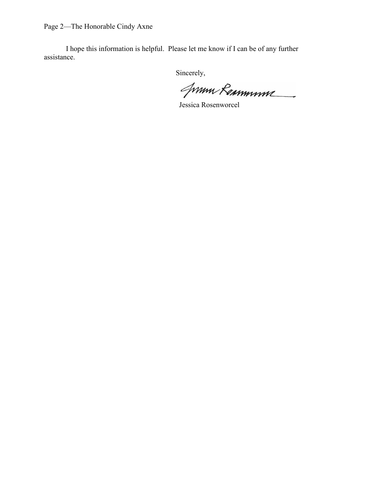Page 2—The Honorable Cindy Axne

I hope this information is helpful. Please let me know if I can be of any further assistance.

Jum Remmune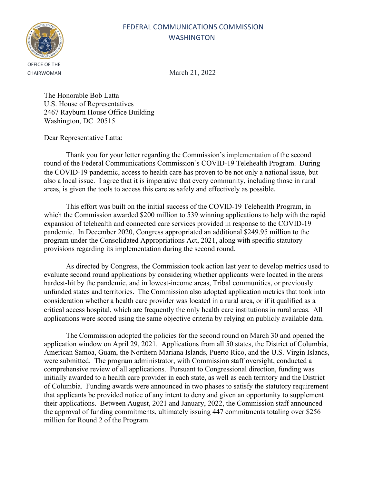

CHAIRWOMAN March 21, 2022

The Honorable Bob Latta U.S. House of Representatives 2467 Rayburn House Office Building Washington, DC 20515

Dear Representative Latta:

Thank you for your letter regarding the Commission's implementation of the second round of the Federal Communications Commission's COVID-19 Telehealth Program. During the COVID-19 pandemic, access to health care has proven to be not only a national issue, but also a local issue. I agree that it is imperative that every community, including those in rural areas, is given the tools to access this care as safely and effectively as possible.

This effort was built on the initial success of the COVID-19 Telehealth Program, in which the Commission awarded \$200 million to 539 winning applications to help with the rapid expansion of telehealth and connected care services provided in response to the COVID-19 pandemic. In December 2020, Congress appropriated an additional \$249.95 million to the program under the Consolidated Appropriations Act, 2021, along with specific statutory provisions regarding its implementation during the second round.

As directed by Congress, the Commission took action last year to develop metrics used to evaluate second round applications by considering whether applicants were located in the areas hardest-hit by the pandemic, and in lowest-income areas, Tribal communities, or previously unfunded states and territories. The Commission also adopted application metrics that took into consideration whether a health care provider was located in a rural area, or if it qualified as a critical access hospital, which are frequently the only health care institutions in rural areas. All applications were scored using the same objective criteria by relying on publicly available data.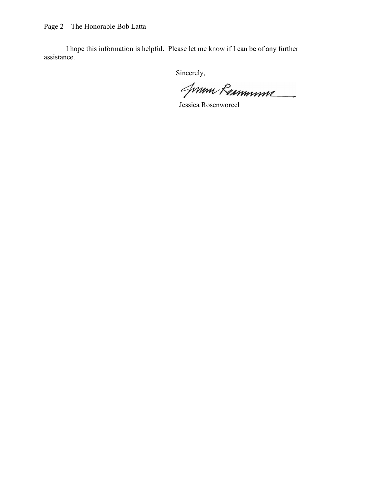Page 2—The Honorable Bob Latta

I hope this information is helpful. Please let me know if I can be of any further assistance.

Jum Remmune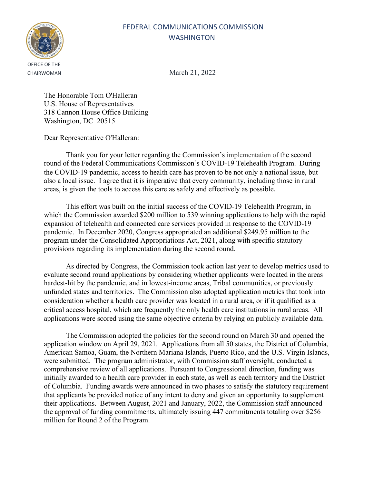

CHAIRWOMAN March 21, 2022

The Honorable Tom O'Halleran U.S. House of Representatives 318 Cannon House Office Building Washington, DC 20515

Dear Representative O'Halleran:

Thank you for your letter regarding the Commission's implementation of the second round of the Federal Communications Commission's COVID-19 Telehealth Program. During the COVID-19 pandemic, access to health care has proven to be not only a national issue, but also a local issue. I agree that it is imperative that every community, including those in rural areas, is given the tools to access this care as safely and effectively as possible.

This effort was built on the initial success of the COVID-19 Telehealth Program, in which the Commission awarded \$200 million to 539 winning applications to help with the rapid expansion of telehealth and connected care services provided in response to the COVID-19 pandemic. In December 2020, Congress appropriated an additional \$249.95 million to the program under the Consolidated Appropriations Act, 2021, along with specific statutory provisions regarding its implementation during the second round.

As directed by Congress, the Commission took action last year to develop metrics used to evaluate second round applications by considering whether applicants were located in the areas hardest-hit by the pandemic, and in lowest-income areas, Tribal communities, or previously unfunded states and territories. The Commission also adopted application metrics that took into consideration whether a health care provider was located in a rural area, or if it qualified as a critical access hospital, which are frequently the only health care institutions in rural areas. All applications were scored using the same objective criteria by relying on publicly available data.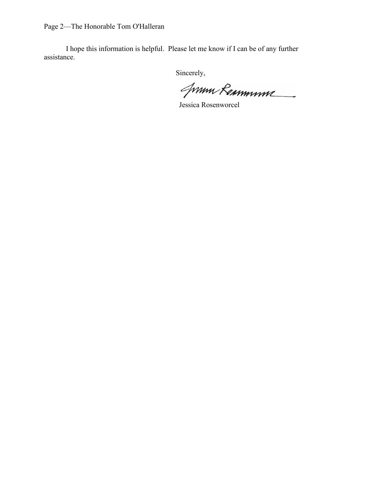Page 2—The Honorable Tom O'Halleran

I hope this information is helpful. Please let me know if I can be of any further assistance.

Jum Remmune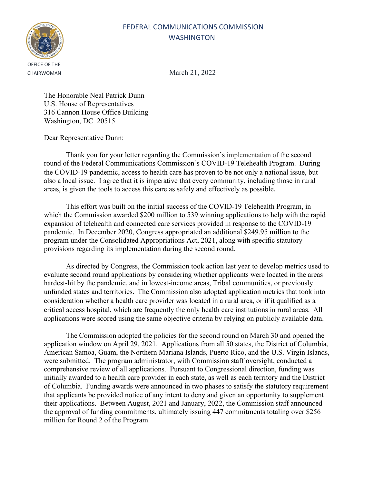

CHAIRWOMAN March 21, 2022

The Honorable Neal Patrick Dunn U.S. House of Representatives 316 Cannon House Office Building Washington, DC 20515

Dear Representative Dunn:

Thank you for your letter regarding the Commission's implementation of the second round of the Federal Communications Commission's COVID-19 Telehealth Program. During the COVID-19 pandemic, access to health care has proven to be not only a national issue, but also a local issue. I agree that it is imperative that every community, including those in rural areas, is given the tools to access this care as safely and effectively as possible.

This effort was built on the initial success of the COVID-19 Telehealth Program, in which the Commission awarded \$200 million to 539 winning applications to help with the rapid expansion of telehealth and connected care services provided in response to the COVID-19 pandemic. In December 2020, Congress appropriated an additional \$249.95 million to the program under the Consolidated Appropriations Act, 2021, along with specific statutory provisions regarding its implementation during the second round.

As directed by Congress, the Commission took action last year to develop metrics used to evaluate second round applications by considering whether applicants were located in the areas hardest-hit by the pandemic, and in lowest-income areas, Tribal communities, or previously unfunded states and territories. The Commission also adopted application metrics that took into consideration whether a health care provider was located in a rural area, or if it qualified as a critical access hospital, which are frequently the only health care institutions in rural areas. All applications were scored using the same objective criteria by relying on publicly available data.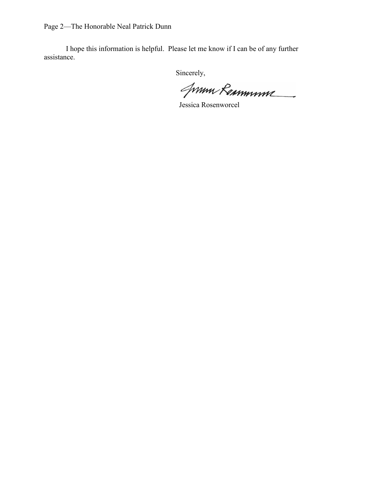Page 2—The Honorable Neal Patrick Dunn

I hope this information is helpful. Please let me know if I can be of any further assistance.

Jum Remmune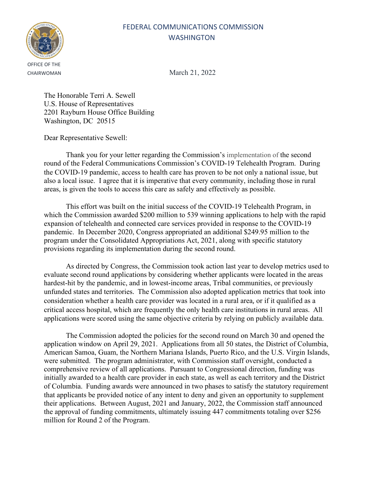

CHAIRWOMAN March 21, 2022

The Honorable Terri A. Sewell U.S. House of Representatives 2201 Rayburn House Office Building Washington, DC 20515

Dear Representative Sewell:

Thank you for your letter regarding the Commission's implementation of the second round of the Federal Communications Commission's COVID-19 Telehealth Program. During the COVID-19 pandemic, access to health care has proven to be not only a national issue, but also a local issue. I agree that it is imperative that every community, including those in rural areas, is given the tools to access this care as safely and effectively as possible.

This effort was built on the initial success of the COVID-19 Telehealth Program, in which the Commission awarded \$200 million to 539 winning applications to help with the rapid expansion of telehealth and connected care services provided in response to the COVID-19 pandemic. In December 2020, Congress appropriated an additional \$249.95 million to the program under the Consolidated Appropriations Act, 2021, along with specific statutory provisions regarding its implementation during the second round.

As directed by Congress, the Commission took action last year to develop metrics used to evaluate second round applications by considering whether applicants were located in the areas hardest-hit by the pandemic, and in lowest-income areas, Tribal communities, or previously unfunded states and territories. The Commission also adopted application metrics that took into consideration whether a health care provider was located in a rural area, or if it qualified as a critical access hospital, which are frequently the only health care institutions in rural areas. All applications were scored using the same objective criteria by relying on publicly available data.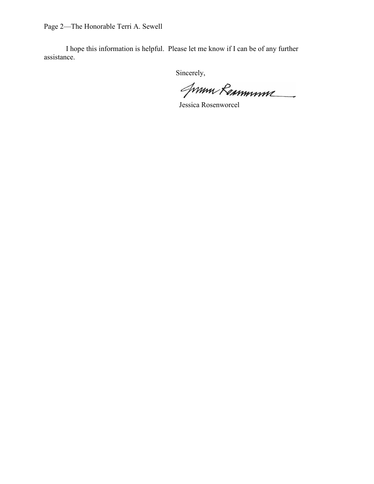Page 2—The Honorable Terri A. Sewell

I hope this information is helpful. Please let me know if I can be of any further assistance.

Jum Remmune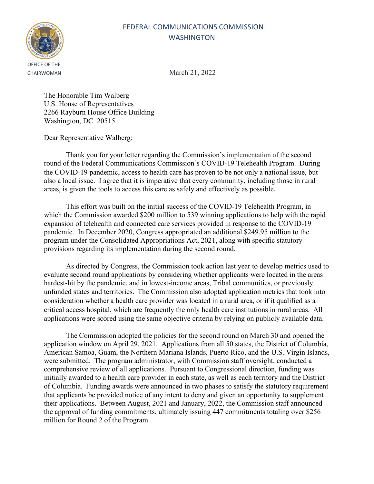

CHAIRWOMAN March 21, 2022

The Honorable Tim Walberg U.S. House of Representatives 2266 Rayburn House Office Building Washington, DC 20515

Dear Representative Walberg:

Thank you for your letter regarding the Commission's implementation of the second round of the Federal Communications Commission's COVID-19 Telehealth Program. During the COVID-19 pandemic, access to health care has proven to be not only a national issue, but also a local issue. I agree that it is imperative that every community, including those in rural areas, is given the tools to access this care as safely and effectively as possible.

This effort was built on the initial success of the COVID-19 Telehealth Program, in which the Commission awarded \$200 million to 539 winning applications to help with the rapid expansion of telehealth and connected care services provided in response to the COVID-19 pandemic. In December 2020, Congress appropriated an additional \$249.95 million to the program under the Consolidated Appropriations Act, 2021, along with specific statutory provisions regarding its implementation during the second round.

As directed by Congress, the Commission took action last year to develop metrics used to evaluate second round applications by considering whether applicants were located in the areas hardest-hit by the pandemic, and in lowest-income areas, Tribal communities, or previously unfunded states and territories. The Commission also adopted application metrics that took into consideration whether a health care provider was located in a rural area, or if it qualified as a critical access hospital, which are frequently the only health care institutions in rural areas. All applications were scored using the same objective criteria by relying on publicly available data.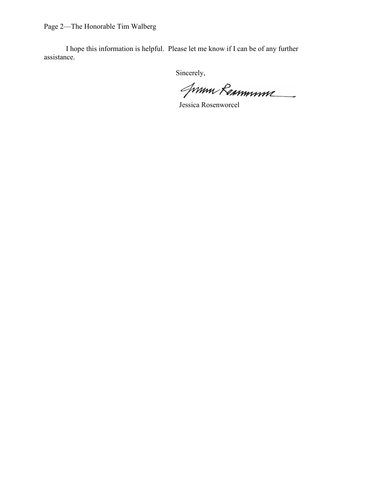Page 2—The Honorable Tim Walberg

I hope this information is helpful. Please let me know if I can be of any further assistance.

Jum Remmune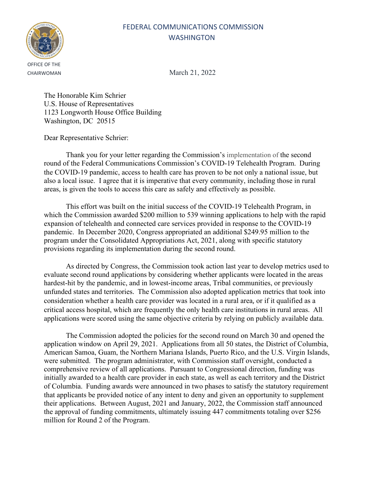

CHAIRWOMAN March 21, 2022

The Honorable Kim Schrier U.S. House of Representatives 1123 Longworth House Office Building Washington, DC 20515

Dear Representative Schrier:

Thank you for your letter regarding the Commission's implementation of the second round of the Federal Communications Commission's COVID-19 Telehealth Program. During the COVID-19 pandemic, access to health care has proven to be not only a national issue, but also a local issue. I agree that it is imperative that every community, including those in rural areas, is given the tools to access this care as safely and effectively as possible.

This effort was built on the initial success of the COVID-19 Telehealth Program, in which the Commission awarded \$200 million to 539 winning applications to help with the rapid expansion of telehealth and connected care services provided in response to the COVID-19 pandemic. In December 2020, Congress appropriated an additional \$249.95 million to the program under the Consolidated Appropriations Act, 2021, along with specific statutory provisions regarding its implementation during the second round.

As directed by Congress, the Commission took action last year to develop metrics used to evaluate second round applications by considering whether applicants were located in the areas hardest-hit by the pandemic, and in lowest-income areas, Tribal communities, or previously unfunded states and territories. The Commission also adopted application metrics that took into consideration whether a health care provider was located in a rural area, or if it qualified as a critical access hospital, which are frequently the only health care institutions in rural areas. All applications were scored using the same objective criteria by relying on publicly available data.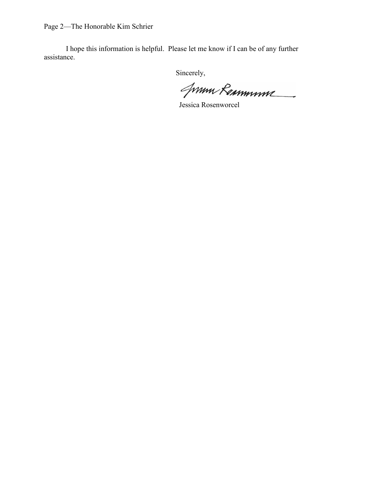Page 2—The Honorable Kim Schrier

I hope this information is helpful. Please let me know if I can be of any further assistance.

Jum Remmune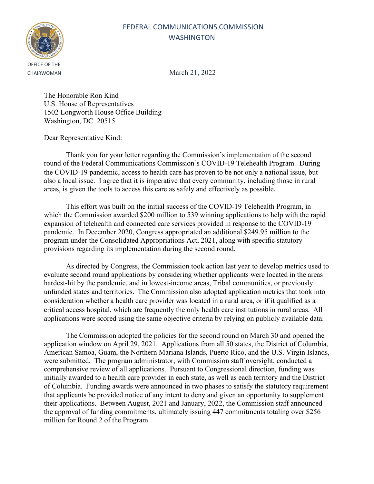

CHAIRWOMAN March 21, 2022

The Honorable Ron Kind U.S. House of Representatives 1502 Longworth House Office Building Washington, DC 20515

Dear Representative Kind:

Thank you for your letter regarding the Commission's implementation of the second round of the Federal Communications Commission's COVID-19 Telehealth Program. During the COVID-19 pandemic, access to health care has proven to be not only a national issue, but also a local issue. I agree that it is imperative that every community, including those in rural areas, is given the tools to access this care as safely and effectively as possible.

This effort was built on the initial success of the COVID-19 Telehealth Program, in which the Commission awarded \$200 million to 539 winning applications to help with the rapid expansion of telehealth and connected care services provided in response to the COVID-19 pandemic. In December 2020, Congress appropriated an additional \$249.95 million to the program under the Consolidated Appropriations Act, 2021, along with specific statutory provisions regarding its implementation during the second round.

As directed by Congress, the Commission took action last year to develop metrics used to evaluate second round applications by considering whether applicants were located in the areas hardest-hit by the pandemic, and in lowest-income areas, Tribal communities, or previously unfunded states and territories. The Commission also adopted application metrics that took into consideration whether a health care provider was located in a rural area, or if it qualified as a critical access hospital, which are frequently the only health care institutions in rural areas. All applications were scored using the same objective criteria by relying on publicly available data.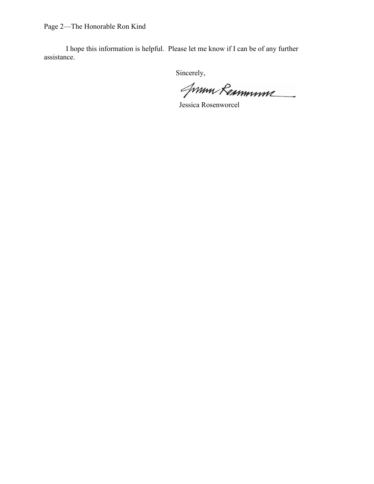Page 2—The Honorable Ron Kind

I hope this information is helpful. Please let me know if I can be of any further assistance.

Jum Remmune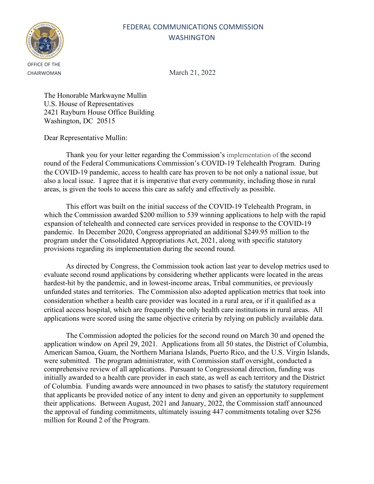

CHAIRWOMAN March 21, 2022

The Honorable Markwayne Mullin U.S. House of Representatives 2421 Rayburn House Office Building Washington, DC 20515

Dear Representative Mullin:

Thank you for your letter regarding the Commission's implementation of the second round of the Federal Communications Commission's COVID-19 Telehealth Program. During the COVID-19 pandemic, access to health care has proven to be not only a national issue, but also a local issue. I agree that it is imperative that every community, including those in rural areas, is given the tools to access this care as safely and effectively as possible.

This effort was built on the initial success of the COVID-19 Telehealth Program, in which the Commission awarded \$200 million to 539 winning applications to help with the rapid expansion of telehealth and connected care services provided in response to the COVID-19 pandemic. In December 2020, Congress appropriated an additional \$249.95 million to the program under the Consolidated Appropriations Act, 2021, along with specific statutory provisions regarding its implementation during the second round.

As directed by Congress, the Commission took action last year to develop metrics used to evaluate second round applications by considering whether applicants were located in the areas hardest-hit by the pandemic, and in lowest-income areas, Tribal communities, or previously unfunded states and territories. The Commission also adopted application metrics that took into consideration whether a health care provider was located in a rural area, or if it qualified as a critical access hospital, which are frequently the only health care institutions in rural areas. All applications were scored using the same objective criteria by relying on publicly available data.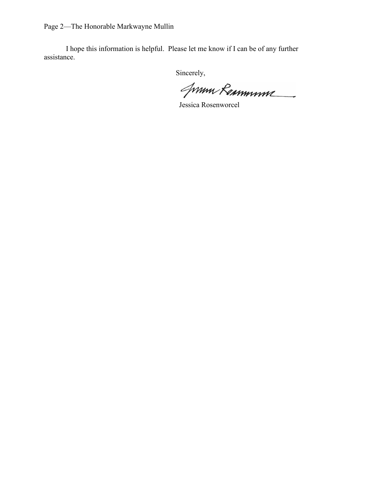Page 2—The Honorable Markwayne Mullin

I hope this information is helpful. Please let me know if I can be of any further assistance.

Jum Remmune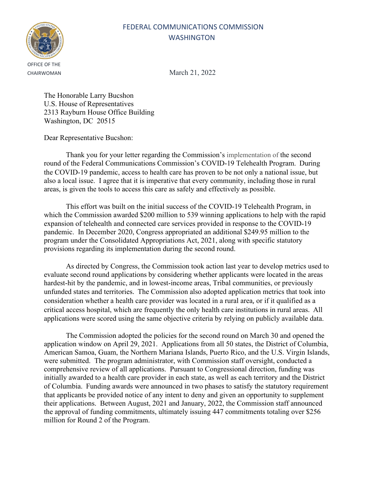

CHAIRWOMAN March 21, 2022

The Honorable Larry Bucshon U.S. House of Representatives 2313 Rayburn House Office Building Washington, DC 20515

Dear Representative Bucshon:

Thank you for your letter regarding the Commission's implementation of the second round of the Federal Communications Commission's COVID-19 Telehealth Program. During the COVID-19 pandemic, access to health care has proven to be not only a national issue, but also a local issue. I agree that it is imperative that every community, including those in rural areas, is given the tools to access this care as safely and effectively as possible.

This effort was built on the initial success of the COVID-19 Telehealth Program, in which the Commission awarded \$200 million to 539 winning applications to help with the rapid expansion of telehealth and connected care services provided in response to the COVID-19 pandemic. In December 2020, Congress appropriated an additional \$249.95 million to the program under the Consolidated Appropriations Act, 2021, along with specific statutory provisions regarding its implementation during the second round.

As directed by Congress, the Commission took action last year to develop metrics used to evaluate second round applications by considering whether applicants were located in the areas hardest-hit by the pandemic, and in lowest-income areas, Tribal communities, or previously unfunded states and territories. The Commission also adopted application metrics that took into consideration whether a health care provider was located in a rural area, or if it qualified as a critical access hospital, which are frequently the only health care institutions in rural areas. All applications were scored using the same objective criteria by relying on publicly available data.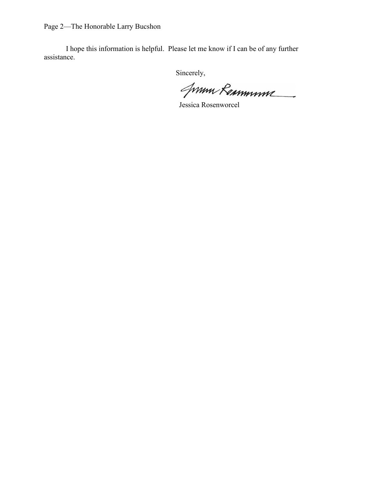Page 2—The Honorable Larry Bucshon

I hope this information is helpful. Please let me know if I can be of any further assistance.

Jum Remmune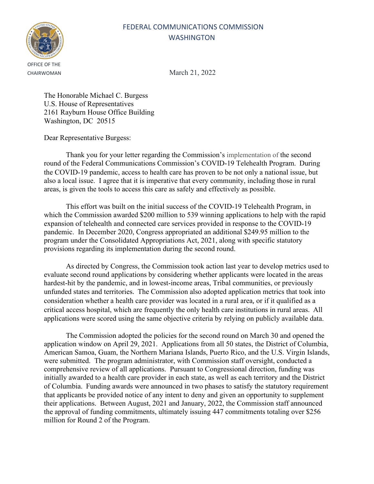

CHAIRWOMAN March 21, 2022

The Honorable Michael C. Burgess U.S. House of Representatives 2161 Rayburn House Office Building Washington, DC 20515

Dear Representative Burgess:

Thank you for your letter regarding the Commission's implementation of the second round of the Federal Communications Commission's COVID-19 Telehealth Program. During the COVID-19 pandemic, access to health care has proven to be not only a national issue, but also a local issue. I agree that it is imperative that every community, including those in rural areas, is given the tools to access this care as safely and effectively as possible.

This effort was built on the initial success of the COVID-19 Telehealth Program, in which the Commission awarded \$200 million to 539 winning applications to help with the rapid expansion of telehealth and connected care services provided in response to the COVID-19 pandemic. In December 2020, Congress appropriated an additional \$249.95 million to the program under the Consolidated Appropriations Act, 2021, along with specific statutory provisions regarding its implementation during the second round.

As directed by Congress, the Commission took action last year to develop metrics used to evaluate second round applications by considering whether applicants were located in the areas hardest-hit by the pandemic, and in lowest-income areas, Tribal communities, or previously unfunded states and territories. The Commission also adopted application metrics that took into consideration whether a health care provider was located in a rural area, or if it qualified as a critical access hospital, which are frequently the only health care institutions in rural areas. All applications were scored using the same objective criteria by relying on publicly available data.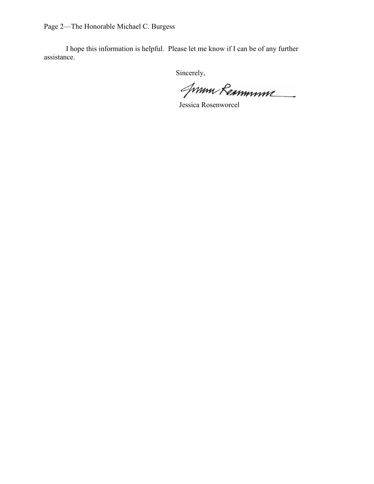Page 2—The Honorable Michael C. Burgess

I hope this information is helpful. Please let me know if I can be of any further assistance.

Jum Remmune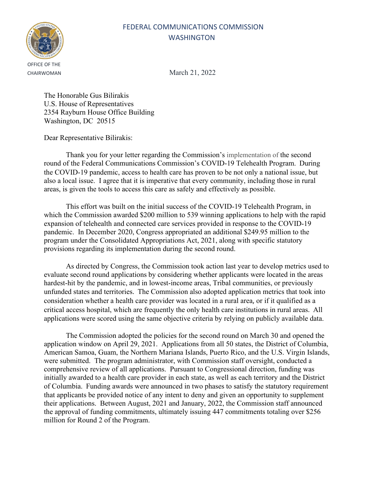

CHAIRWOMAN March 21, 2022

The Honorable Gus Bilirakis U.S. House of Representatives 2354 Rayburn House Office Building Washington, DC 20515

Dear Representative Bilirakis:

Thank you for your letter regarding the Commission's implementation of the second round of the Federal Communications Commission's COVID-19 Telehealth Program. During the COVID-19 pandemic, access to health care has proven to be not only a national issue, but also a local issue. I agree that it is imperative that every community, including those in rural areas, is given the tools to access this care as safely and effectively as possible.

This effort was built on the initial success of the COVID-19 Telehealth Program, in which the Commission awarded \$200 million to 539 winning applications to help with the rapid expansion of telehealth and connected care services provided in response to the COVID-19 pandemic. In December 2020, Congress appropriated an additional \$249.95 million to the program under the Consolidated Appropriations Act, 2021, along with specific statutory provisions regarding its implementation during the second round.

As directed by Congress, the Commission took action last year to develop metrics used to evaluate second round applications by considering whether applicants were located in the areas hardest-hit by the pandemic, and in lowest-income areas, Tribal communities, or previously unfunded states and territories. The Commission also adopted application metrics that took into consideration whether a health care provider was located in a rural area, or if it qualified as a critical access hospital, which are frequently the only health care institutions in rural areas. All applications were scored using the same objective criteria by relying on publicly available data.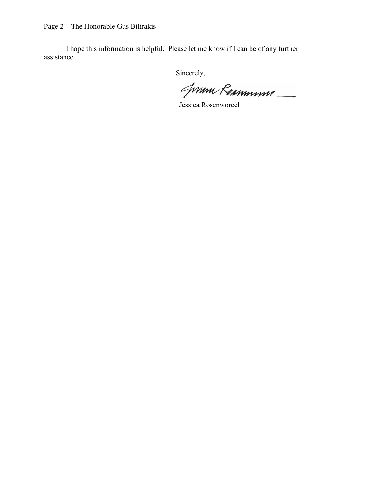Page 2—The Honorable Gus Bilirakis

I hope this information is helpful. Please let me know if I can be of any further assistance.

Jum Remmune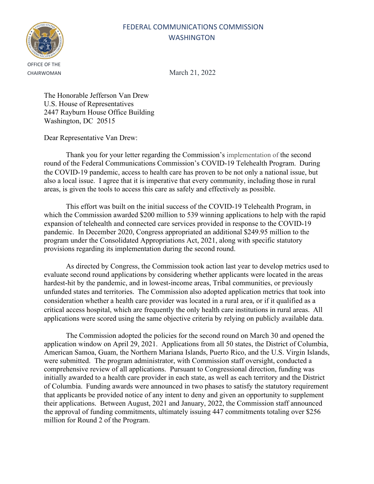

CHAIRWOMAN March 21, 2022

The Honorable Jefferson Van Drew U.S. House of Representatives 2447 Rayburn House Office Building Washington, DC 20515

Dear Representative Van Drew:

Thank you for your letter regarding the Commission's implementation of the second round of the Federal Communications Commission's COVID-19 Telehealth Program. During the COVID-19 pandemic, access to health care has proven to be not only a national issue, but also a local issue. I agree that it is imperative that every community, including those in rural areas, is given the tools to access this care as safely and effectively as possible.

This effort was built on the initial success of the COVID-19 Telehealth Program, in which the Commission awarded \$200 million to 539 winning applications to help with the rapid expansion of telehealth and connected care services provided in response to the COVID-19 pandemic. In December 2020, Congress appropriated an additional \$249.95 million to the program under the Consolidated Appropriations Act, 2021, along with specific statutory provisions regarding its implementation during the second round.

As directed by Congress, the Commission took action last year to develop metrics used to evaluate second round applications by considering whether applicants were located in the areas hardest-hit by the pandemic, and in lowest-income areas, Tribal communities, or previously unfunded states and territories. The Commission also adopted application metrics that took into consideration whether a health care provider was located in a rural area, or if it qualified as a critical access hospital, which are frequently the only health care institutions in rural areas. All applications were scored using the same objective criteria by relying on publicly available data.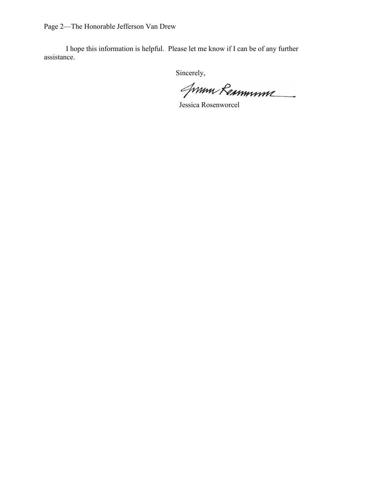Page 2—The Honorable Jefferson Van Drew

I hope this information is helpful. Please let me know if I can be of any further assistance.

Jum Remmune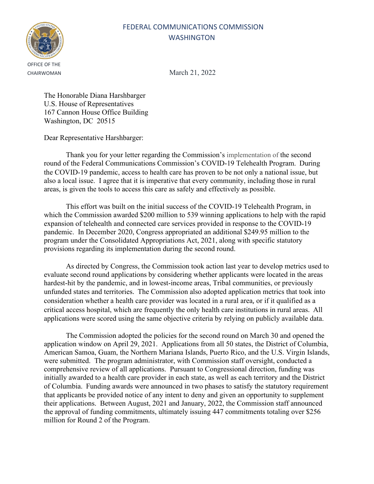

CHAIRWOMAN March 21, 2022

The Honorable Diana Harshbarger U.S. House of Representatives 167 Cannon House Office Building Washington, DC 20515

Dear Representative Harshbarger:

Thank you for your letter regarding the Commission's implementation of the second round of the Federal Communications Commission's COVID-19 Telehealth Program. During the COVID-19 pandemic, access to health care has proven to be not only a national issue, but also a local issue. I agree that it is imperative that every community, including those in rural areas, is given the tools to access this care as safely and effectively as possible.

This effort was built on the initial success of the COVID-19 Telehealth Program, in which the Commission awarded \$200 million to 539 winning applications to help with the rapid expansion of telehealth and connected care services provided in response to the COVID-19 pandemic. In December 2020, Congress appropriated an additional \$249.95 million to the program under the Consolidated Appropriations Act, 2021, along with specific statutory provisions regarding its implementation during the second round.

As directed by Congress, the Commission took action last year to develop metrics used to evaluate second round applications by considering whether applicants were located in the areas hardest-hit by the pandemic, and in lowest-income areas, Tribal communities, or previously unfunded states and territories. The Commission also adopted application metrics that took into consideration whether a health care provider was located in a rural area, or if it qualified as a critical access hospital, which are frequently the only health care institutions in rural areas. All applications were scored using the same objective criteria by relying on publicly available data.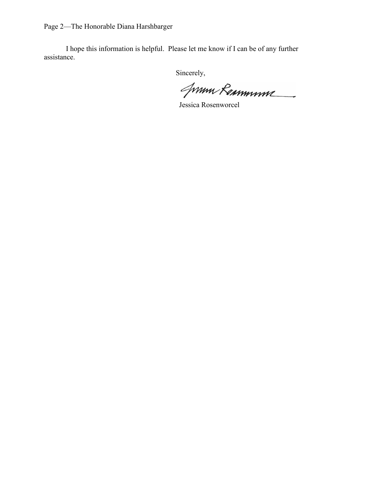Page 2—The Honorable Diana Harshbarger

I hope this information is helpful. Please let me know if I can be of any further assistance.

Jum Remmune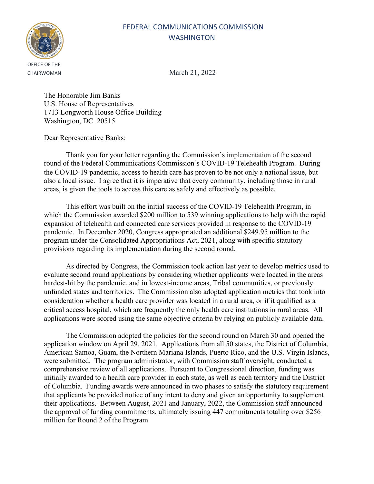

CHAIRWOMAN March 21, 2022

The Honorable Jim Banks U.S. House of Representatives 1713 Longworth House Office Building Washington, DC 20515

Dear Representative Banks:

Thank you for your letter regarding the Commission's implementation of the second round of the Federal Communications Commission's COVID-19 Telehealth Program. During the COVID-19 pandemic, access to health care has proven to be not only a national issue, but also a local issue. I agree that it is imperative that every community, including those in rural areas, is given the tools to access this care as safely and effectively as possible.

This effort was built on the initial success of the COVID-19 Telehealth Program, in which the Commission awarded \$200 million to 539 winning applications to help with the rapid expansion of telehealth and connected care services provided in response to the COVID-19 pandemic. In December 2020, Congress appropriated an additional \$249.95 million to the program under the Consolidated Appropriations Act, 2021, along with specific statutory provisions regarding its implementation during the second round.

As directed by Congress, the Commission took action last year to develop metrics used to evaluate second round applications by considering whether applicants were located in the areas hardest-hit by the pandemic, and in lowest-income areas, Tribal communities, or previously unfunded states and territories. The Commission also adopted application metrics that took into consideration whether a health care provider was located in a rural area, or if it qualified as a critical access hospital, which are frequently the only health care institutions in rural areas. All applications were scored using the same objective criteria by relying on publicly available data.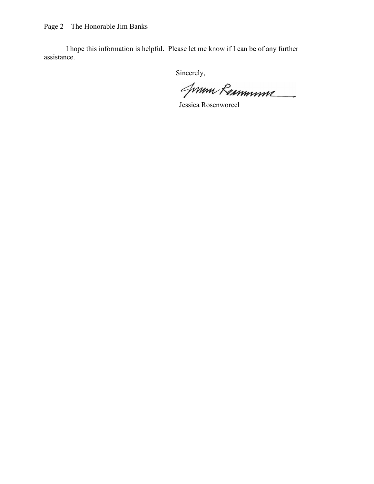Page 2—The Honorable Jim Banks

I hope this information is helpful. Please let me know if I can be of any further assistance.

Jum Remmune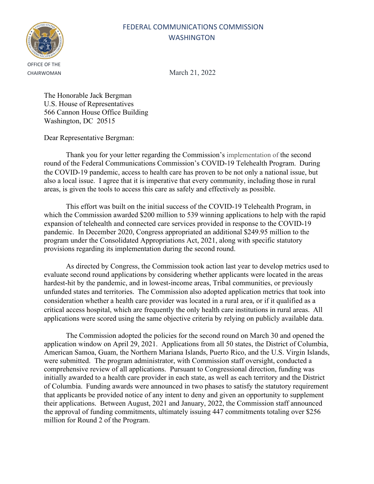

CHAIRWOMAN March 21, 2022

The Honorable Jack Bergman U.S. House of Representatives 566 Cannon House Office Building Washington, DC 20515

Dear Representative Bergman:

Thank you for your letter regarding the Commission's implementation of the second round of the Federal Communications Commission's COVID-19 Telehealth Program. During the COVID-19 pandemic, access to health care has proven to be not only a national issue, but also a local issue. I agree that it is imperative that every community, including those in rural areas, is given the tools to access this care as safely and effectively as possible.

This effort was built on the initial success of the COVID-19 Telehealth Program, in which the Commission awarded \$200 million to 539 winning applications to help with the rapid expansion of telehealth and connected care services provided in response to the COVID-19 pandemic. In December 2020, Congress appropriated an additional \$249.95 million to the program under the Consolidated Appropriations Act, 2021, along with specific statutory provisions regarding its implementation during the second round.

As directed by Congress, the Commission took action last year to develop metrics used to evaluate second round applications by considering whether applicants were located in the areas hardest-hit by the pandemic, and in lowest-income areas, Tribal communities, or previously unfunded states and territories. The Commission also adopted application metrics that took into consideration whether a health care provider was located in a rural area, or if it qualified as a critical access hospital, which are frequently the only health care institutions in rural areas. All applications were scored using the same objective criteria by relying on publicly available data.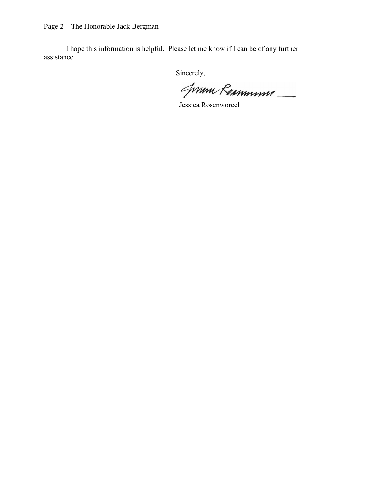Page 2—The Honorable Jack Bergman

I hope this information is helpful. Please let me know if I can be of any further assistance.

Jum Remmune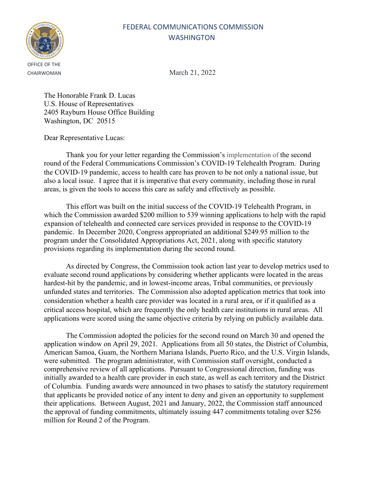

CHAIRWOMAN March 21, 2022

The Honorable Frank D. Lucas U.S. House of Representatives 2405 Rayburn House Office Building Washington, DC 20515

Dear Representative Lucas:

Thank you for your letter regarding the Commission's implementation of the second round of the Federal Communications Commission's COVID-19 Telehealth Program. During the COVID-19 pandemic, access to health care has proven to be not only a national issue, but also a local issue. I agree that it is imperative that every community, including those in rural areas, is given the tools to access this care as safely and effectively as possible.

This effort was built on the initial success of the COVID-19 Telehealth Program, in which the Commission awarded \$200 million to 539 winning applications to help with the rapid expansion of telehealth and connected care services provided in response to the COVID-19 pandemic. In December 2020, Congress appropriated an additional \$249.95 million to the program under the Consolidated Appropriations Act, 2021, along with specific statutory provisions regarding its implementation during the second round.

As directed by Congress, the Commission took action last year to develop metrics used to evaluate second round applications by considering whether applicants were located in the areas hardest-hit by the pandemic, and in lowest-income areas, Tribal communities, or previously unfunded states and territories. The Commission also adopted application metrics that took into consideration whether a health care provider was located in a rural area, or if it qualified as a critical access hospital, which are frequently the only health care institutions in rural areas. All applications were scored using the same objective criteria by relying on publicly available data.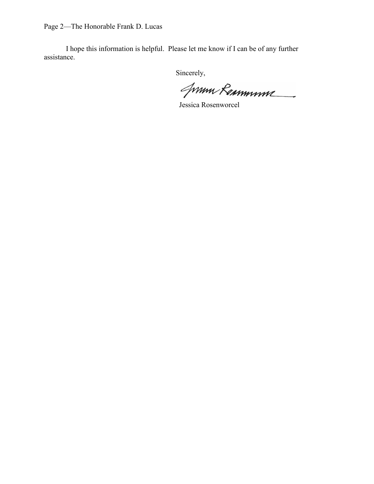Page 2—The Honorable Frank D. Lucas

I hope this information is helpful. Please let me know if I can be of any further assistance.

Jum Remmune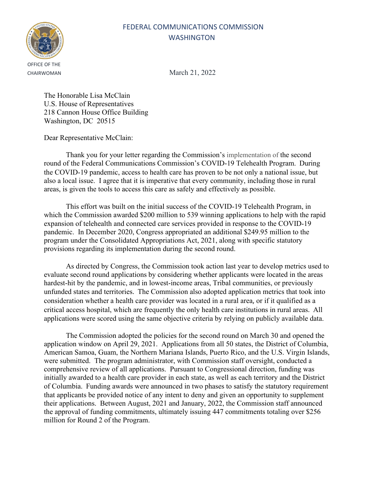

CHAIRWOMAN March 21, 2022

The Honorable Lisa McClain U.S. House of Representatives 218 Cannon House Office Building Washington, DC 20515

Dear Representative McClain:

Thank you for your letter regarding the Commission's implementation of the second round of the Federal Communications Commission's COVID-19 Telehealth Program. During the COVID-19 pandemic, access to health care has proven to be not only a national issue, but also a local issue. I agree that it is imperative that every community, including those in rural areas, is given the tools to access this care as safely and effectively as possible.

This effort was built on the initial success of the COVID-19 Telehealth Program, in which the Commission awarded \$200 million to 539 winning applications to help with the rapid expansion of telehealth and connected care services provided in response to the COVID-19 pandemic. In December 2020, Congress appropriated an additional \$249.95 million to the program under the Consolidated Appropriations Act, 2021, along with specific statutory provisions regarding its implementation during the second round.

As directed by Congress, the Commission took action last year to develop metrics used to evaluate second round applications by considering whether applicants were located in the areas hardest-hit by the pandemic, and in lowest-income areas, Tribal communities, or previously unfunded states and territories. The Commission also adopted application metrics that took into consideration whether a health care provider was located in a rural area, or if it qualified as a critical access hospital, which are frequently the only health care institutions in rural areas. All applications were scored using the same objective criteria by relying on publicly available data.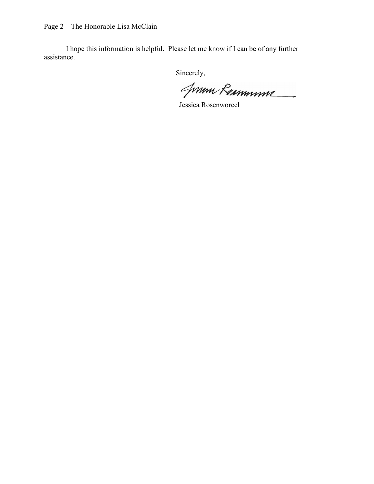Page 2—The Honorable Lisa McClain

I hope this information is helpful. Please let me know if I can be of any further assistance.

Jum Remmune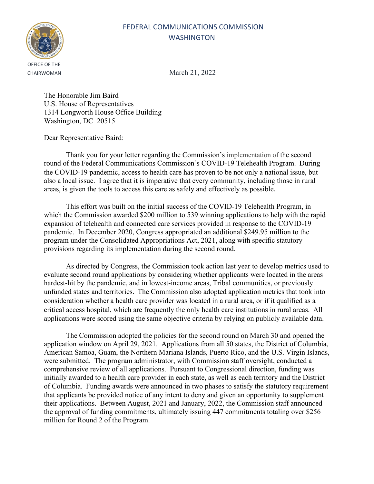

CHAIRWOMAN March 21, 2022

The Honorable Jim Baird U.S. House of Representatives 1314 Longworth House Office Building Washington, DC 20515

Dear Representative Baird:

Thank you for your letter regarding the Commission's implementation of the second round of the Federal Communications Commission's COVID-19 Telehealth Program. During the COVID-19 pandemic, access to health care has proven to be not only a national issue, but also a local issue. I agree that it is imperative that every community, including those in rural areas, is given the tools to access this care as safely and effectively as possible.

This effort was built on the initial success of the COVID-19 Telehealth Program, in which the Commission awarded \$200 million to 539 winning applications to help with the rapid expansion of telehealth and connected care services provided in response to the COVID-19 pandemic. In December 2020, Congress appropriated an additional \$249.95 million to the program under the Consolidated Appropriations Act, 2021, along with specific statutory provisions regarding its implementation during the second round.

As directed by Congress, the Commission took action last year to develop metrics used to evaluate second round applications by considering whether applicants were located in the areas hardest-hit by the pandemic, and in lowest-income areas, Tribal communities, or previously unfunded states and territories. The Commission also adopted application metrics that took into consideration whether a health care provider was located in a rural area, or if it qualified as a critical access hospital, which are frequently the only health care institutions in rural areas. All applications were scored using the same objective criteria by relying on publicly available data.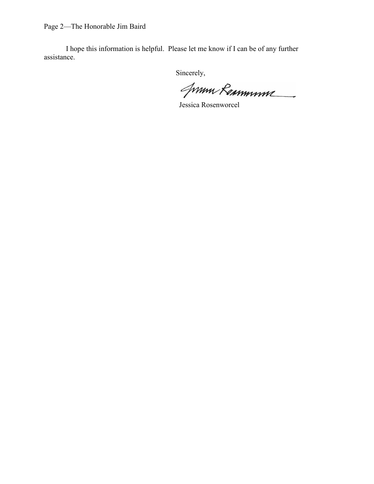Page 2—The Honorable Jim Baird

I hope this information is helpful. Please let me know if I can be of any further assistance.

Jum Remmune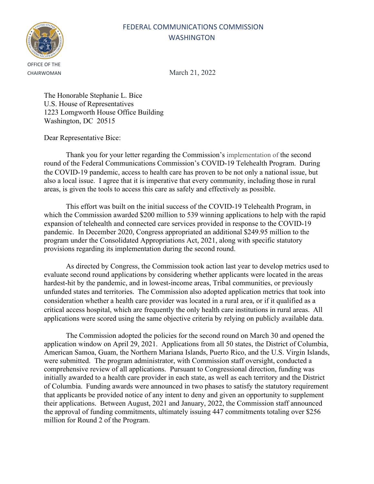

CHAIRWOMAN March 21, 2022

The Honorable Stephanie L. Bice U.S. House of Representatives 1223 Lomgworth House Office Building Washington, DC 20515

Dear Representative Bice:

Thank you for your letter regarding the Commission's implementation of the second round of the Federal Communications Commission's COVID-19 Telehealth Program. During the COVID-19 pandemic, access to health care has proven to be not only a national issue, but also a local issue. I agree that it is imperative that every community, including those in rural areas, is given the tools to access this care as safely and effectively as possible.

This effort was built on the initial success of the COVID-19 Telehealth Program, in which the Commission awarded \$200 million to 539 winning applications to help with the rapid expansion of telehealth and connected care services provided in response to the COVID-19 pandemic. In December 2020, Congress appropriated an additional \$249.95 million to the program under the Consolidated Appropriations Act, 2021, along with specific statutory provisions regarding its implementation during the second round.

As directed by Congress, the Commission took action last year to develop metrics used to evaluate second round applications by considering whether applicants were located in the areas hardest-hit by the pandemic, and in lowest-income areas, Tribal communities, or previously unfunded states and territories. The Commission also adopted application metrics that took into consideration whether a health care provider was located in a rural area, or if it qualified as a critical access hospital, which are frequently the only health care institutions in rural areas. All applications were scored using the same objective criteria by relying on publicly available data.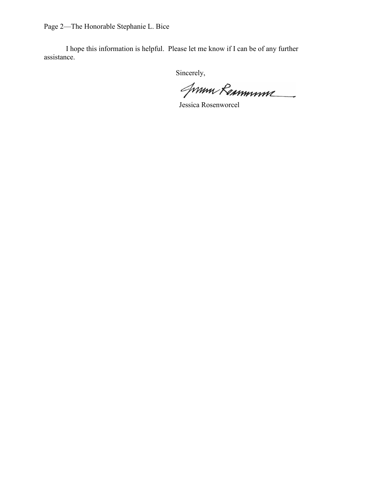Page 2—The Honorable Stephanie L. Bice

I hope this information is helpful. Please let me know if I can be of any further assistance.

Jum Remmune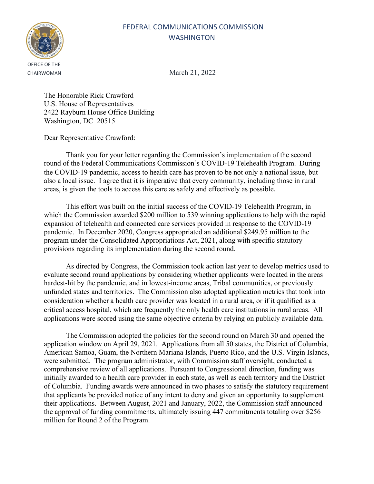

CHAIRWOMAN March 21, 2022

The Honorable Rick Crawford U.S. House of Representatives 2422 Rayburn House Office Building Washington, DC 20515

Dear Representative Crawford:

Thank you for your letter regarding the Commission's implementation of the second round of the Federal Communications Commission's COVID-19 Telehealth Program. During the COVID-19 pandemic, access to health care has proven to be not only a national issue, but also a local issue. I agree that it is imperative that every community, including those in rural areas, is given the tools to access this care as safely and effectively as possible.

This effort was built on the initial success of the COVID-19 Telehealth Program, in which the Commission awarded \$200 million to 539 winning applications to help with the rapid expansion of telehealth and connected care services provided in response to the COVID-19 pandemic. In December 2020, Congress appropriated an additional \$249.95 million to the program under the Consolidated Appropriations Act, 2021, along with specific statutory provisions regarding its implementation during the second round.

As directed by Congress, the Commission took action last year to develop metrics used to evaluate second round applications by considering whether applicants were located in the areas hardest-hit by the pandemic, and in lowest-income areas, Tribal communities, or previously unfunded states and territories. The Commission also adopted application metrics that took into consideration whether a health care provider was located in a rural area, or if it qualified as a critical access hospital, which are frequently the only health care institutions in rural areas. All applications were scored using the same objective criteria by relying on publicly available data.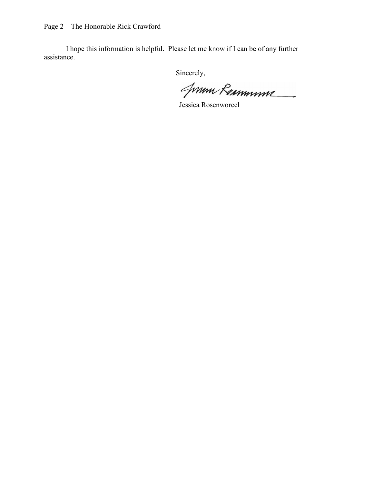Page 2—The Honorable Rick Crawford

I hope this information is helpful. Please let me know if I can be of any further assistance.

Jum Remmune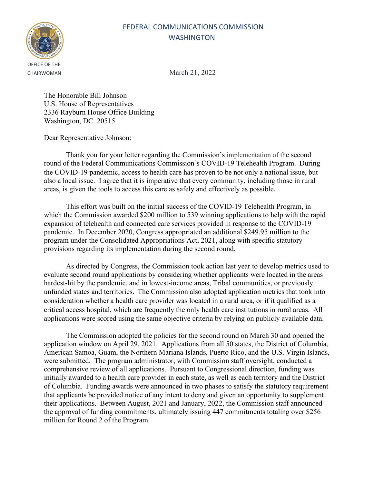

CHAIRWOMAN March 21, 2022

The Honorable Bill Johnson U.S. House of Representatives 2336 Rayburn House Office Building Washington, DC 20515

Dear Representative Johnson:

Thank you for your letter regarding the Commission's implementation of the second round of the Federal Communications Commission's COVID-19 Telehealth Program. During the COVID-19 pandemic, access to health care has proven to be not only a national issue, but also a local issue. I agree that it is imperative that every community, including those in rural areas, is given the tools to access this care as safely and effectively as possible.

This effort was built on the initial success of the COVID-19 Telehealth Program, in which the Commission awarded \$200 million to 539 winning applications to help with the rapid expansion of telehealth and connected care services provided in response to the COVID-19 pandemic. In December 2020, Congress appropriated an additional \$249.95 million to the program under the Consolidated Appropriations Act, 2021, along with specific statutory provisions regarding its implementation during the second round.

As directed by Congress, the Commission took action last year to develop metrics used to evaluate second round applications by considering whether applicants were located in the areas hardest-hit by the pandemic, and in lowest-income areas, Tribal communities, or previously unfunded states and territories. The Commission also adopted application metrics that took into consideration whether a health care provider was located in a rural area, or if it qualified as a critical access hospital, which are frequently the only health care institutions in rural areas. All applications were scored using the same objective criteria by relying on publicly available data.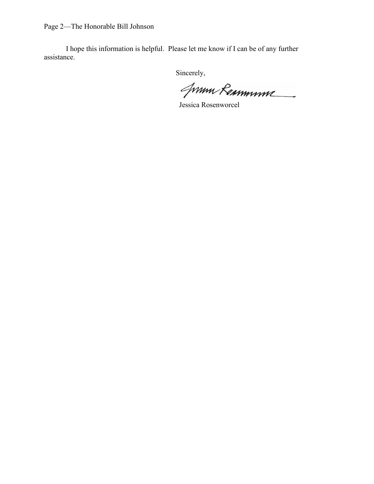Page 2—The Honorable Bill Johnson

I hope this information is helpful. Please let me know if I can be of any further assistance.

Jum Remmune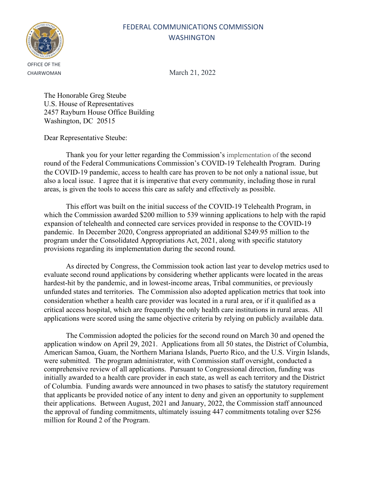

CHAIRWOMAN March 21, 2022

The Honorable Greg Steube U.S. House of Representatives 2457 Rayburn House Office Building Washington, DC 20515

Dear Representative Steube:

Thank you for your letter regarding the Commission's implementation of the second round of the Federal Communications Commission's COVID-19 Telehealth Program. During the COVID-19 pandemic, access to health care has proven to be not only a national issue, but also a local issue. I agree that it is imperative that every community, including those in rural areas, is given the tools to access this care as safely and effectively as possible.

This effort was built on the initial success of the COVID-19 Telehealth Program, in which the Commission awarded \$200 million to 539 winning applications to help with the rapid expansion of telehealth and connected care services provided in response to the COVID-19 pandemic. In December 2020, Congress appropriated an additional \$249.95 million to the program under the Consolidated Appropriations Act, 2021, along with specific statutory provisions regarding its implementation during the second round.

As directed by Congress, the Commission took action last year to develop metrics used to evaluate second round applications by considering whether applicants were located in the areas hardest-hit by the pandemic, and in lowest-income areas, Tribal communities, or previously unfunded states and territories. The Commission also adopted application metrics that took into consideration whether a health care provider was located in a rural area, or if it qualified as a critical access hospital, which are frequently the only health care institutions in rural areas. All applications were scored using the same objective criteria by relying on publicly available data.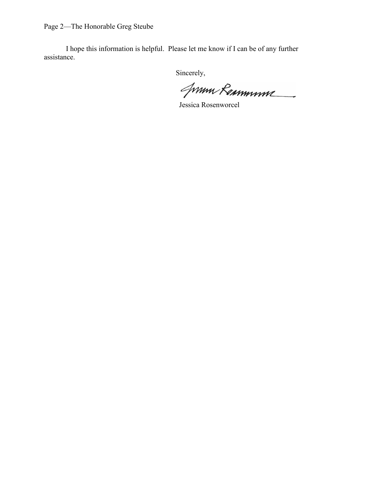Page 2—The Honorable Greg Steube

I hope this information is helpful. Please let me know if I can be of any further assistance.

Jum Remmune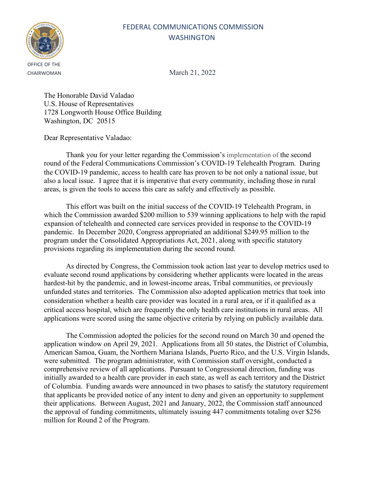

CHAIRWOMAN March 21, 2022

The Honorable David Valadao U.S. House of Representatives 1728 Longworth House Office Building Washington, DC 20515

Dear Representative Valadao:

Thank you for your letter regarding the Commission's implementation of the second round of the Federal Communications Commission's COVID-19 Telehealth Program. During the COVID-19 pandemic, access to health care has proven to be not only a national issue, but also a local issue. I agree that it is imperative that every community, including those in rural areas, is given the tools to access this care as safely and effectively as possible.

This effort was built on the initial success of the COVID-19 Telehealth Program, in which the Commission awarded \$200 million to 539 winning applications to help with the rapid expansion of telehealth and connected care services provided in response to the COVID-19 pandemic. In December 2020, Congress appropriated an additional \$249.95 million to the program under the Consolidated Appropriations Act, 2021, along with specific statutory provisions regarding its implementation during the second round.

As directed by Congress, the Commission took action last year to develop metrics used to evaluate second round applications by considering whether applicants were located in the areas hardest-hit by the pandemic, and in lowest-income areas, Tribal communities, or previously unfunded states and territories. The Commission also adopted application metrics that took into consideration whether a health care provider was located in a rural area, or if it qualified as a critical access hospital, which are frequently the only health care institutions in rural areas. All applications were scored using the same objective criteria by relying on publicly available data.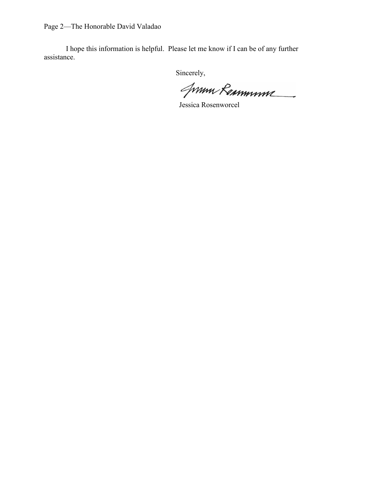Page 2—The Honorable David Valadao

I hope this information is helpful. Please let me know if I can be of any further assistance.

Jum Remmune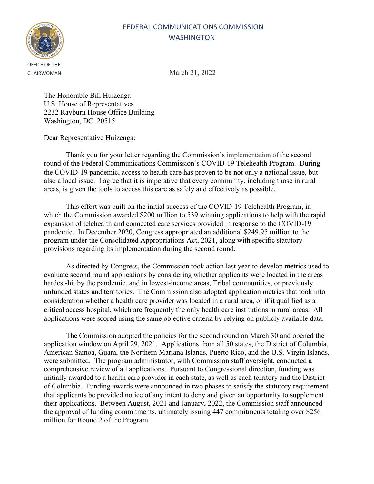

CHAIRWOMAN March 21, 2022

The Honorable Bill Huizenga U.S. House of Representatives 2232 Rayburn House Office Building Washington, DC 20515

Dear Representative Huizenga:

Thank you for your letter regarding the Commission's implementation of the second round of the Federal Communications Commission's COVID-19 Telehealth Program. During the COVID-19 pandemic, access to health care has proven to be not only a national issue, but also a local issue. I agree that it is imperative that every community, including those in rural areas, is given the tools to access this care as safely and effectively as possible.

This effort was built on the initial success of the COVID-19 Telehealth Program, in which the Commission awarded \$200 million to 539 winning applications to help with the rapid expansion of telehealth and connected care services provided in response to the COVID-19 pandemic. In December 2020, Congress appropriated an additional \$249.95 million to the program under the Consolidated Appropriations Act, 2021, along with specific statutory provisions regarding its implementation during the second round.

As directed by Congress, the Commission took action last year to develop metrics used to evaluate second round applications by considering whether applicants were located in the areas hardest-hit by the pandemic, and in lowest-income areas, Tribal communities, or previously unfunded states and territories. The Commission also adopted application metrics that took into consideration whether a health care provider was located in a rural area, or if it qualified as a critical access hospital, which are frequently the only health care institutions in rural areas. All applications were scored using the same objective criteria by relying on publicly available data.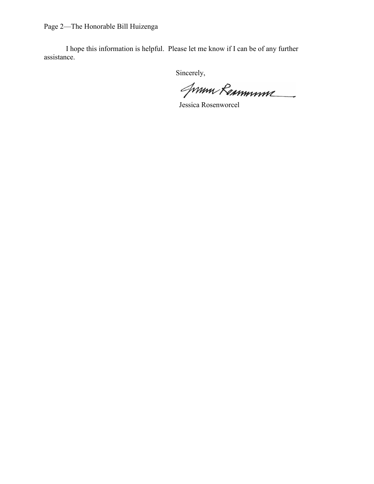Page 2—The Honorable Bill Huizenga

I hope this information is helpful. Please let me know if I can be of any further assistance.

Jum Remmune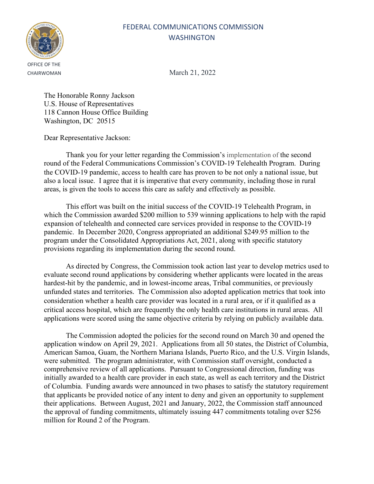

CHAIRWOMAN March 21, 2022

The Honorable Ronny Jackson U.S. House of Representatives 118 Cannon House Office Building Washington, DC 20515

Dear Representative Jackson:

Thank you for your letter regarding the Commission's implementation of the second round of the Federal Communications Commission's COVID-19 Telehealth Program. During the COVID-19 pandemic, access to health care has proven to be not only a national issue, but also a local issue. I agree that it is imperative that every community, including those in rural areas, is given the tools to access this care as safely and effectively as possible.

This effort was built on the initial success of the COVID-19 Telehealth Program, in which the Commission awarded \$200 million to 539 winning applications to help with the rapid expansion of telehealth and connected care services provided in response to the COVID-19 pandemic. In December 2020, Congress appropriated an additional \$249.95 million to the program under the Consolidated Appropriations Act, 2021, along with specific statutory provisions regarding its implementation during the second round.

As directed by Congress, the Commission took action last year to develop metrics used to evaluate second round applications by considering whether applicants were located in the areas hardest-hit by the pandemic, and in lowest-income areas, Tribal communities, or previously unfunded states and territories. The Commission also adopted application metrics that took into consideration whether a health care provider was located in a rural area, or if it qualified as a critical access hospital, which are frequently the only health care institutions in rural areas. All applications were scored using the same objective criteria by relying on publicly available data.